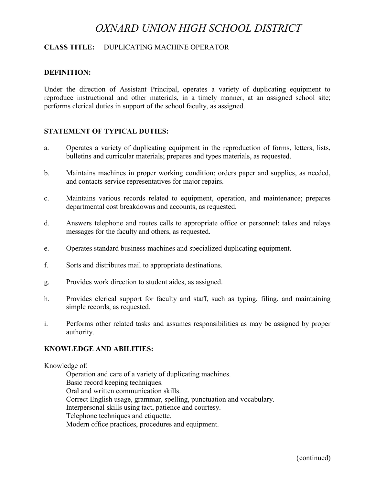# *OXNARD UNION HIGH SCHOOL DISTRICT*

## **CLASS TITLE:** DUPLICATING MACHINE OPERATOR

## **DEFINITION:**

Under the direction of Assistant Principal, operates a variety of duplicating equipment to reproduce instructional and other materials, in a timely manner, at an assigned school site; performs clerical duties in support of the school faculty, as assigned.

## **STATEMENT OF TYPICAL DUTIES:**

- a. Operates a variety of duplicating equipment in the reproduction of forms, letters, lists, bulletins and curricular materials; prepares and types materials, as requested.
- b. Maintains machines in proper working condition; orders paper and supplies, as needed, and contacts service representatives for major repairs.
- c. Maintains various records related to equipment, operation, and maintenance; prepares departmental cost breakdowns and accounts, as requested.
- d. Answers telephone and routes calls to appropriate office or personnel; takes and relays messages for the faculty and others, as requested.
- e. Operates standard business machines and specialized duplicating equipment.
- f. Sorts and distributes mail to appropriate destinations.
- g. Provides work direction to student aides, as assigned.
- h. Provides clerical support for faculty and staff, such as typing, filing, and maintaining simple records, as requested.
- i. Performs other related tasks and assumes responsibilities as may be assigned by proper authority.

## **KNOWLEDGE AND ABILITIES:**

#### Knowledge of:

Operation and care of a variety of duplicating machines. Basic record keeping techniques. Oral and written communication skills. Correct English usage, grammar, spelling, punctuation and vocabulary. Interpersonal skills using tact, patience and courtesy. Telephone techniques and etiquette. Modern office practices, procedures and equipment.